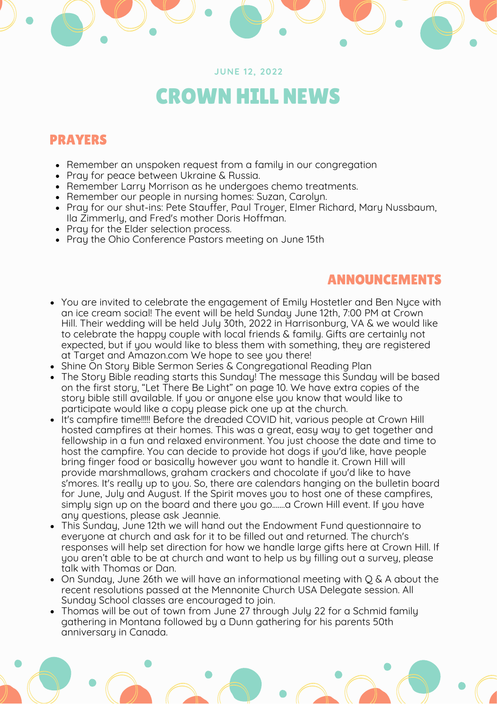### **JUNE 12, 2022**

# CROWN HILL NEWS

### PRAYERS

- Remember an unspoken request from a family in our congregation
- Pray for peace between Ukraine & Russia.
- Remember Larry Morrison as he undergoes chemo treatments.
- Remember our people in nursing homes: Suzan, Carolyn.
- Pray for our shut-ins: Pete Stauffer, Paul Troyer, Elmer Richard, Mary Nussbaum, Ila Zimmerly, and Fred's mother Doris Hoffman.
- Pray for the Elder selection process.
- Pray the Ohio Conference Pastors meeting on June 15th

### ANNOUNCEMENTS

- You are invited to celebrate the engagement of Emily Hostetler and Ben Nyce with an ice cream social! The event will be held Sunday June 12th, 7:00 PM at Crown Hill. Their wedding will be held July 30th, 2022 in Harrisonburg, VA & we would like to celebrate the happy couple with local friends & family. Gifts are certainly not expected, but if you would like to bless them with something, they are registered at Target and Amazon.com We hope to see you there!
- Shine On Story Bible Sermon Series & Congregational Reading Plan
- The Story Bible reading starts this Sunday! The message this Sunday will be based on the first story, "Let There Be Light" on page 10. We have extra copies of the story bible still available. If you or anyone else you know that would like to participate would like a copy please pick one up at the church.
- It's campfire time!!!!! Before the dreaded COVID hit, various people at Crown Hill hosted campfires at their homes. This was a great, easy way to get together and fellowship in a fun and relaxed environment. You just choose the date and time to host the campfire. You can decide to provide hot dogs if you'd like, have people bring finger food or basically however you want to handle it. Crown Hill will provide marshmallows, graham crackers and chocolate if you'd like to have s'mores. It's really up to you. So, there are calendars hanging on the bulletin board for June, July and August. If the Spirit moves you to host one of these campfires, simply sign up on the board and there you go.......a Crown Hill event. If you have any questions, please ask Jeannie.
- This Sunday, June 12th we will hand out the Endowment Fund questionnaire to everyone at church and ask for it to be filled out and returned. The church's responses will help set direction for how we handle large gifts here at Crown Hill. If you aren't able to be at church and want to help us by filling out a survey, please talk with Thomas or Dan.
- On Sunday, June 26th we will have an informational meeting with Q & A about the recent resolutions passed at the Mennonite Church USA Delegate session. All Sunday School classes are encouraged to join.
- Thomas will be out of town from June 27 through July 22 for a Schmid family gathering in Montana followed by a Dunn gathering for his parents 50th anniversary in Canada.